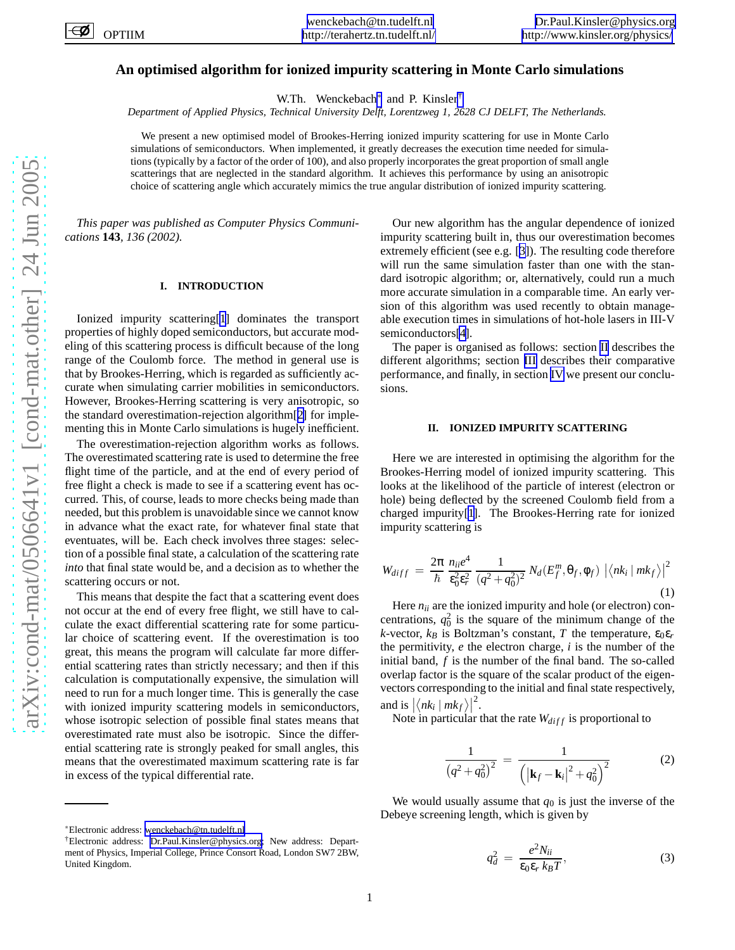# <span id="page-0-0"></span>**An optimised algorithm for ionized impurity scattering in Monte Carlo simulations**

W.Th. Wenckebach<sup>∗</sup> and P. Kinsler<sup>†</sup>

*Department of Applied Physics, Technical University Delft, Lorentzweg 1, 2628 CJ DELFT, The Netherlands.*

We present a new optimised model of Brookes-Herring ionized impurity scattering for use in Monte Carlo simulations of semiconductors. When implemented, it greatly decreases the execution time needed for simulations (typically by a factor of the order of 100), and also properly incorporates the great proportion of small angle scatterings that are neglected in the standard algorithm. It achieves this performance by using an anisotropic choice of scattering angle which accurately mimics the true angular distribution of ionized impurity scattering.

*This paper was published as Computer Physics Communications* **143***, 136 (2002).*

## **I. INTRODUCTION**

Ionized impurity scattering[\[1](#page-4-0)] dominates the transport properties of highly doped semiconductors, but accurate modeling of this scattering process is difficult because of the long range of the Coulomb force. The method in general use is that by Brookes-Herring, which is regarded as sufficiently accurate when simulating carrier mobilities in semiconductors. However, Brookes-Herring scattering is very anisotropic, so the standard overestimation-rejection algorithm[[2\]](#page-4-0) for implementing this in Monte Carlo simulations is hugely inefficient.

The overestimation-rejection algorithm works as follows. The overestimated scattering rate is used to determine the free flight time of the particle, and at the end of every period of free flight a check is made to see if a scattering event has occurred. This, of course, leads to more checks being made than needed, but this problem is unavoidable since we cannot know in advance what the exact rate, for whatever final state that eventuates, will be. Each check involves three stages: selection of a possible final state, a calculation of the scattering rate *into* that final state would be, and a decision as to whether the scattering occurs or not.

This means that despite the fact that a scattering event does not occur at the end of every free flight, we still have to calculate the exact differential scattering rate for some particular choice of scattering event. If the overestimation is too great, this means the program will calculate far more differential scattering rates than strictly necessary; and then if this calculation is computationally expensive, the simulation will need to run for a much longer time. This is generally the case with ionized impurity scattering models in semiconductors, whose isotropic selection of possible final states means that overestimated rate must also be isotropic. Since the differential scattering rate is strongly peaked for small angles, this means that the overestimated maximum scattering rate is far in excess of the typical differential rate.

Our new algorithm has the angular dependence of ionized impurity scattering built in, thus our overestimation becomes extremely efficient (see e.g. [[3\]](#page-4-0)). The resulting code therefore will run the same simulation faster than one with the standard isotropic algorithm; or, alternatively, could run a much more accurate simulation in a comparable time. An early version of this algorithm was used recently to obtain manageable execution times in simulations of hot-hole lasers in III-V semiconductors[\[4\]](#page-4-0).

The paper is organised as follows: section II describes the different algorithms; section [III](#page-3-0) describes their comparative performance, and finally, in section [IV](#page-3-0) we present our conclusions.

### **II. IONIZED IMPURITY SCATTERING**

Here we are interested in optimising the algorithm for the Brookes-Herring model of ionized impurity scattering. This looks at the likelihood of the particle of interest (electron or hole) being deflected by the screened Coulomb field from a charged impurity[\[1\]](#page-4-0). The Brookes-Herring rate for ionized impurity scattering is

$$
W_{diff} = \frac{2\pi}{\hbar} \frac{n_{ii}e^4}{\epsilon_0^2 \epsilon_r^2} \frac{1}{(q^2+q_0^2)^2} N_d(E_f^m, \theta_f, \phi_f) \left| \langle nk_i \mid mk_f \rangle \right|^2 \tag{1}
$$

Here  $n_{ii}$  are the ionized impurity and hole (or electron) concentrations,  $q_0^2$  is the square of the minimum change of the  $k$ -vector,  $k_B$  is Boltzman's constant, *T* the temperature,  $\varepsilon_0 \varepsilon_r$ the permitivity, *e* the electron charge, *i* is the number of the initial band, *f* is the number of the final band. The so-called overlap factor is the square of the scalar product of the eigenvectors corresponding to the initial and final state respectively, and is  $|\langle nk_i | mk_f \rangle|$ 2 .

Note in particular that the rate  $W_{diff}$  is proportional to

$$
\frac{1}{(q^2+q_0^2)^2} = \frac{1}{\left(|\mathbf{k}_f - \mathbf{k}_i|^2 + q_0^2\right)^2}
$$
 (2)

We would usually assume that  $q_0$  is just the inverse of the Debeye screening length, which is given by

$$
q_d^2 = \frac{e^2 N_{ii}}{\varepsilon_0 \varepsilon_r k_B T},\tag{3}
$$

<sup>∗</sup>Electronic address: [wenckebach@tn.tudelft.nl](mailto:wenckebach@tn.tudelft.nl)

<sup>†</sup>Electronic address: [Dr.Paul.Kinsler@physics.org](mailto:Dr.Paul.Kinsler@physics.org); New address: Department of Physics, Imperial College, Prince Consort Road, London SW7 2BW, United Kingdom.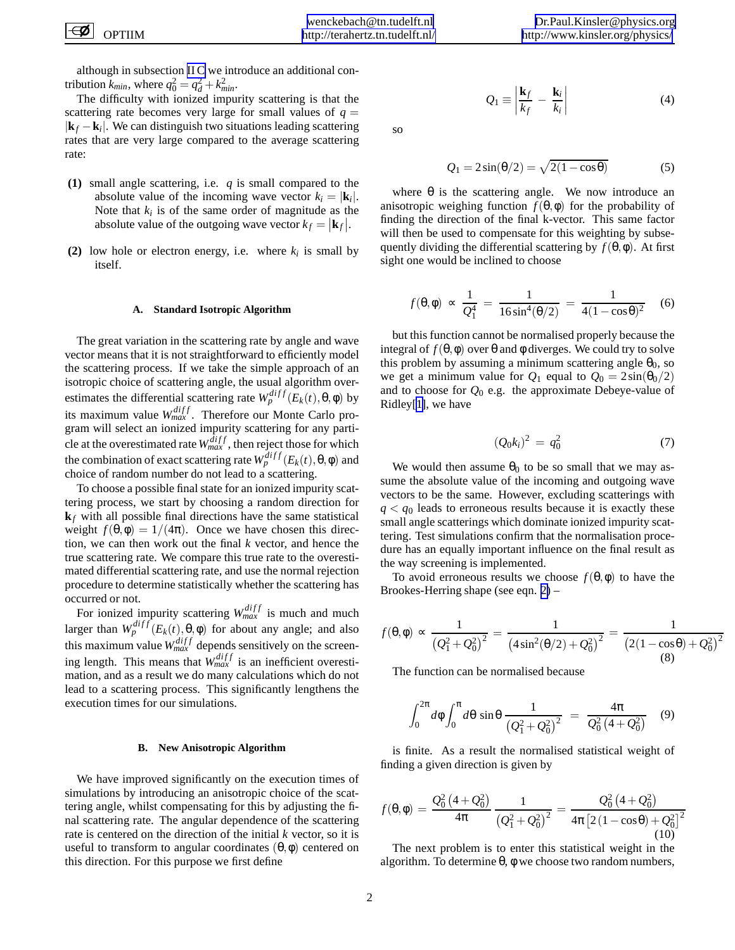(4)

although in subsection [II C](#page-2-0) we introduce an additional contribution  $k_{min}$ , where  $q_0^2 = q_d^2 + k_{min}^2$ .

The difficulty with ionized impurity scattering is that the scattering rate becomes very large for small values of  $q =$ |**k***<sup>f</sup>* −**k***<sup>i</sup>* |. We can distinguish two situations leading scattering rates that are very large compared to the average scattering rate:

- **(1)** small angle scattering, i.e. *q* is small compared to the absolute value of the incoming wave vector  $k_i = |\mathbf{k}_i|$ . Note that  $k_i$  is of the same order of magnitude as the absolute value of the outgoing wave vector  $k_f = |\mathbf{k}_f|$ .
- (2) low hole or electron energy, i.e. where  $k_i$  is small by itself.

#### **A. Standard Isotropic Algorithm**

The great variation in the scattering rate by angle and wave vector means that it is not straightforward to efficiently model the scattering process. If we take the simple approach of an isotropic choice of scattering angle, the usual algorithm overestimates the differential scattering rate  $W_p^{diff}(E_k(t), \theta, \phi)$  by its maximum value  $W_{max}^{diff}$ . Therefore our Monte Carlo program will select an ionized impurity scattering for any particle at the overestimated rate  $W_{max}^{diff}$  , then reject those for which the combination of exact scattering rate  $W_p^{diff}(E_k(t), \theta, \phi)$  and choice of random number do not lead to a scattering.

To choose a possible final state for an ionized impurity scattering process, we start by choosing a random direction for  $\mathbf{k}_f$  with all possible final directions have the same statistical weight  $f(\theta, \phi) = 1/(4\pi)$ . Once we have chosen this direction, we can then work out the final *k* vector, and hence the true scattering rate. We compare this true rate to the overestimated differential scattering rate, and use the normal rejection procedure to determine statistically whether the scattering has occurred or not.

For ionized impurity scattering  $W_{max}^{diff}$  is much and much larger than  $W_p^{diff}(E_k(t), \theta, \phi)$  for about any angle; and also this maximum value  $W_{max}^{diff}$  depends sensitively on the screening length. This means that  $W_{max}^{diff}$  is an inefficient overestimation, and as a result we do many calculations which do not lead to a scattering process. This significantly lengthens the execution times for our simulations.

#### **B. New Anisotropic Algorithm**

We have improved significantly on the execution times of simulations by introducing an anisotropic choice of the scattering angle, whilst compensating for this by adjusting the final scattering rate. The angular dependence of the scattering rate is centered on the direction of the initial *k* vector, so it is useful to transform to angular coordinates  $(\theta, \phi)$  centered on this direction. For this purpose we first define

so

$$
Q_1 = 2\sin(\theta/2) = \sqrt{2(1 - \cos\theta)}
$$
 (5)

**k***i ki*  $\begin{array}{c} \begin{array}{c} \begin{array}{c} \end{array} \\ \begin{array}{c} \end{array} \end{array} \end{array}$ 

where  $\theta$  is the scattering angle. We now introduce an anisotropic weighing function  $f(\theta, \phi)$  for the probability of finding the direction of the final k-vector. This same factor will then be used to compensate for this weighting by subsequently dividing the differential scattering by  $f(\theta, \phi)$ . At first sight one would be inclined to choose

 $Q_1 \equiv$ 

**k***f*  $\frac{1}{k_f}$  –

$$
f(\theta, \phi) \propto \frac{1}{Q_1^4} = \frac{1}{16\sin^4(\theta/2)} = \frac{1}{4(1-\cos\theta)^2}
$$
 (6)

but this function cannot be normalised properly because the integral of  $f(\theta, φ)$  over  $θ$  and  $φ$  diverges. We could try to solve this problem by assuming a minimum scattering angle  $\theta_0$ , so we get a minimum value for  $Q_1$  equal to  $Q_0 = 2\sin(\theta_0/2)$ and to choose for  $Q_0$  e.g. the approximate Debeye-value of Ridley[[1\]](#page-4-0), we have

$$
(Q_0 k_i)^2 = q_0^2 \tag{7}
$$

We would then assume  $\theta_0$  to be so small that we may assume the absolute value of the incoming and outgoing wave vectors to be the same. However, excluding scatterings with  $q < q_0$  leads to erroneous results because it is exactly these small angle scatterings which dominate ionized impurity scattering. Test simulations confirm that the normalisation procedure has an equally important influence on the final result as the way screening is implemented.

To avoid erroneous results we choose  $f(\theta, \phi)$  to have the Brookes-Herring shape (see eqn. [2\)](#page-0-0) –

$$
f(\theta,\phi) \propto \frac{1}{\left(Q_1^2 + Q_0^2\right)^2} = \frac{1}{\left(4\sin^2(\theta/2) + Q_0^2\right)^2} = \frac{1}{\left(2(1 - \cos\theta) + Q_0^2\right)^2}
$$
\n(8)

The function can be normalised because

$$
\int_0^{2\pi} d\phi \int_0^{\pi} d\theta \sin \theta \frac{1}{\left(Q_1^2 + Q_0^2\right)^2} = \frac{4\pi}{Q_0^2 \left(4 + Q_0^2\right)} \quad (9)
$$

is finite. As a result the normalised statistical weight of finding a given direction is given by

$$
f(\theta,\phi) = \frac{Q_0^2 (4 + Q_0^2)}{4\pi} \frac{1}{\left(Q_1^2 + Q_0^2\right)^2} = \frac{Q_0^2 (4 + Q_0^2)}{4\pi \left[2\left(1 - \cos\theta\right) + Q_0^2\right]^2}
$$
(10)

The next problem is to enter this statistical weight in the algorithm. To determine θ, φ we choose two random numbers,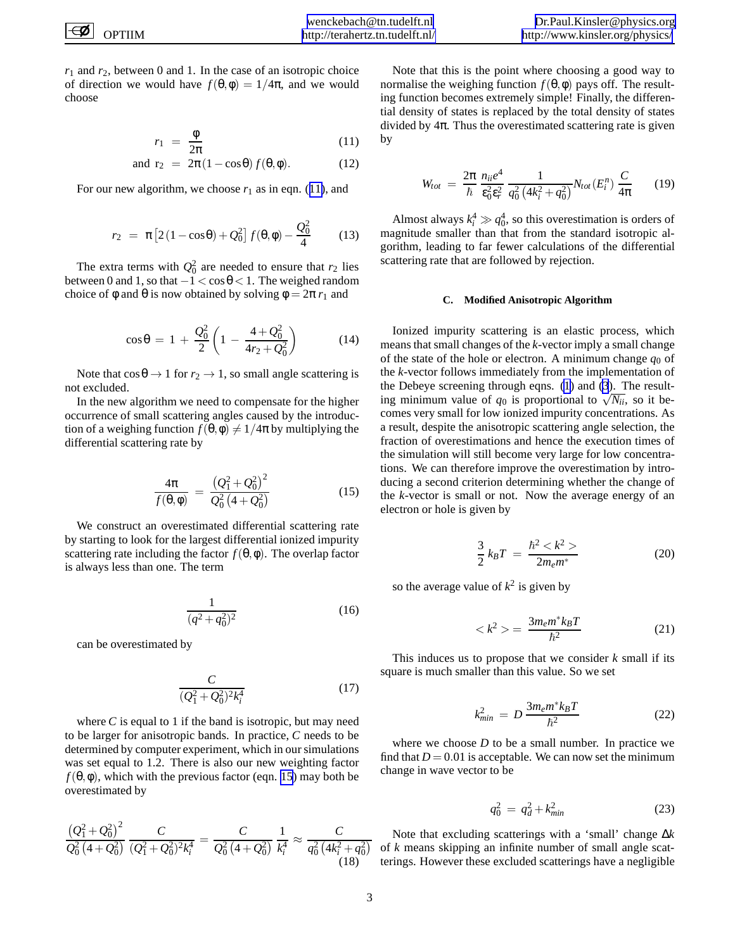<span id="page-2-0"></span>*r*<sup>1</sup> and *r*2, between 0 and 1. In the case of an isotropic choice of direction we would have  $f(\theta, \phi) = 1/4\pi$ , and we would choose

$$
r_1 = \frac{\phi}{2\pi} \tag{11}
$$

and 
$$
r_2 = 2\pi (1 - \cos \theta) f(\theta, \phi)
$$
. (12)

For our new algorithm, we choose  $r_1$  as in eqn. (11), and

$$
r_2 = \pi \left[ 2\left(1 - \cos \theta\right) + Q_0^2 \right] f(\theta, \phi) - \frac{Q_0^2}{4} \tag{13}
$$

The extra terms with  $Q_0^2$  are needed to ensure that  $r_2$  lies between 0 and 1, so that  $-1 < \cos \theta < 1$ . The weighed random choice of  $\phi$  and  $\theta$  is now obtained by solving  $\phi = 2\pi r_1$  and

$$
\cos \theta = 1 + \frac{Q_0^2}{2} \left( 1 - \frac{4 + Q_0^2}{4r_2 + Q_0^2} \right) \tag{14}
$$

Note that  $\cos \theta \rightarrow 1$  for  $r_2 \rightarrow 1$ , so small angle scattering is not excluded.

In the new algorithm we need to compensate for the higher occurrence of small scattering angles caused by the introduction of a weighing function  $f(\theta, \phi) \neq 1/4\pi$  by multiplying the differential scattering rate by

$$
\frac{4\pi}{f(\theta,\phi)} = \frac{(Q_1^2 + Q_0^2)^2}{Q_0^2(4 + Q_0^2)}
$$
(15)

We construct an overestimated differential scattering rate by starting to look for the largest differential ionized impurity scattering rate including the factor  $f(\theta, \phi)$ . The overlap factor is always less than one. The term

$$
\frac{1}{(q^2+q_0^2)^2} \tag{16}
$$

can be overestimated by

$$
\frac{C}{(Q_1^2 + Q_0^2)^2 k_i^4} \tag{17}
$$

where  $C$  is equal to 1 if the band is isotropic, but may need to be larger for anisotropic bands. In practice, *C* needs to be determined by computer experiment, which in our simulations was set equal to 1.2. There is also our new weighting factor  $f(\theta, \phi)$ , which with the previous factor (eqn. 15) may both be overestimated by

$$
\frac{\left(Q_1^2+Q_0^2\right)^2}{Q_0^2\left(4+Q_0^2\right)}\frac{C}{\left(Q_1^2+Q_0^2\right)^2k_i^4} = \frac{C}{Q_0^2\left(4+Q_0^2\right)}\frac{1}{k_i^4} \approx \frac{C}{q_0^2\left(4k_i^2+q_0^2\right)}
$$
\n(18)

Note that this is the point where choosing a good way to normalise the weighing function  $f(\theta, \phi)$  pays off. The resulting function becomes extremely simple! Finally, the differential density of states is replaced by the total density of states divided by 4π. Thus the overestimated scattering rate is given by

$$
W_{tot} = \frac{2\pi}{\hbar} \frac{n_{ii}e^4}{\epsilon_0^2 \epsilon_r^2} \frac{1}{q_0^2 \left(4k_i^2 + q_0^2\right)} N_{tot}(E_i^n) \frac{C}{4\pi}
$$
 (19)

Almost always  $k_i^4 \gg q_0^4$ , so this overestimation is orders of magnitude smaller than that from the standard isotropic algorithm, leading to far fewer calculations of the differential scattering rate that are followed by rejection.

#### **C. Modified Anisotropic Algorithm**

Ionized impurity scattering is an elastic process, which means that small changes of the *k*-vector imply a small change of the state of the hole or electron. A minimum change  $q_0$  of the *k*-vector follows immediately from the implementation of the Debeye screening through eqns. [\(1](#page-0-0)) and [\(3](#page-0-0)). The resulting minimum value of  $q_0$  is proportional to  $\sqrt{N_{ii}}$ , so it becomes very small for low ionized impurity concentrations. As a result, despite the anisotropic scattering angle selection, the fraction of overestimations and hence the execution times of the simulation will still become very large for low concentrations. We can therefore improve the overestimation by introducing a second criterion determining whether the change of the *k*-vector is small or not. Now the average energy of an electron or hole is given by

$$
\frac{3}{2}k_B T = \frac{\hbar^2 < k^2 >}{2m_e m^*} \tag{20}
$$

so the average value of  $k^2$  is given by

$$
\langle k^2 \rangle = \frac{3m_e m^* k_B T}{\hbar^2} \tag{21}
$$

This induces us to propose that we consider *k* small if its square is much smaller than this value. So we set

$$
k_{min}^2 = D \frac{3m_e m^* k_B T}{\hbar^2} \tag{22}
$$

where we choose  $D$  to be a small number. In practice we find that  $D = 0.01$  is acceptable. We can now set the minimum change in wave vector to be

$$
q_0^2 = q_d^2 + k_{min}^2 \tag{23}
$$

Note that excluding scatterings with a 'small' change ∆*k* of *k* means skipping an infinite number of small angle scatterings. However these excluded scatterings have a negligible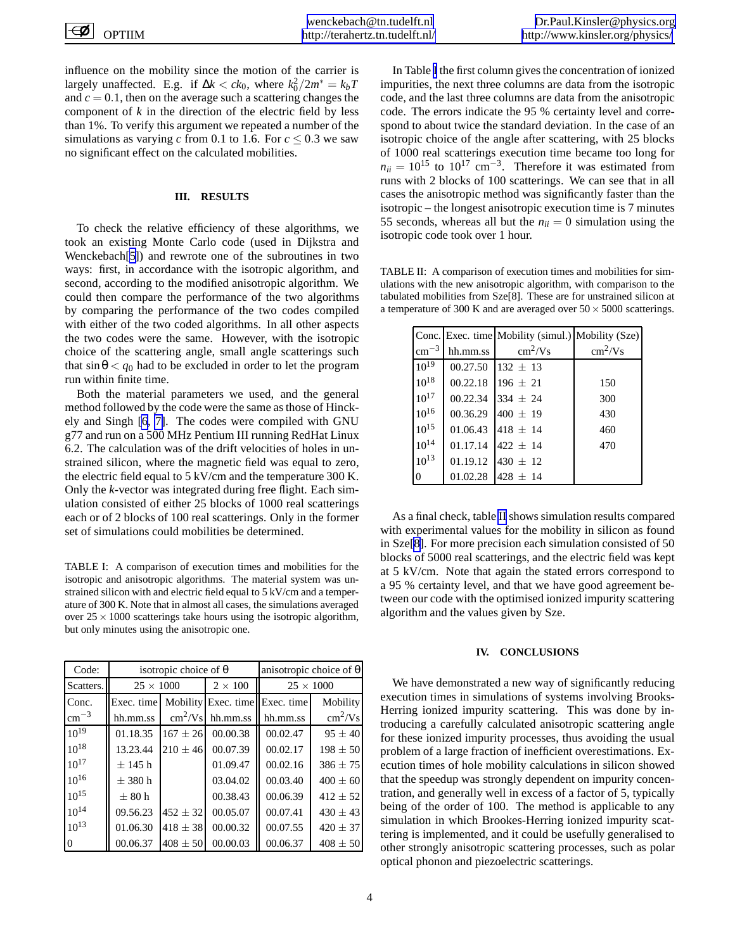<span id="page-3-0"></span>influence on the mobility since the motion of the carrier is largely unaffected. E.g. if  $\Delta k < ck_0$ , where  $k_0^2/2m^* = k_bT$ and  $c = 0.1$ , then on the average such a scattering changes the component of  $k$  in the direction of the electric field by less than 1%. To verify this argument we repeated a number of the simulations as varying *c* from 0.1 to 1.6. For  $c \le 0.3$  we saw no significant effect on the calculated mobilities.

## **III. RESULTS**

To check the relative efficiency of these algorithms, we took an existing Monte Carlo code (used in Dijkstra and Wenckebach[\[5\]](#page-4-0)) and rewrote one of the subroutines in two ways: first, in accordance with the isotropic algorithm, and second, according to the modified anisotropic algorithm. We could then compare the performance of the two algorithms by comparing the performance of the two codes compiled with either of the two coded algorithms. In all other aspects the two codes were the same. However, with the isotropic choice of the scattering angle, small angle scatterings such that  $\sin \theta < q_0$  had to be excluded in order to let the program run within finite time.

Both the material parameters we used, and the general method followed by the code were the same as those of Hinckely and Singh [\[6](#page-4-0), [7\]](#page-4-0). The codes were compiled with GNU g77 and run on a 500 MHz Pentium III running RedHat Linux 6.2. The calculation was of the drift velocities of holes in unstrained silicon, where the magnetic field was equal to zero, the electric field equal to 5 kV/cm and the temperature 300 K. Only the *k*-vector was integrated during free flight. Each simulation consisted of either 25 blocks of 1000 real scatterings each or of 2 blocks of 100 real scatterings. Only in the former set of simulations could mobilities be determined.

TABLE I: A comparison of execution times and mobilities for the isotropic and anisotropic algorithms. The material system was unstrained silicon with and electric field equal to 5 kV/cm and a temperature of 300 K. Note that in almost all cases, the simulations averaged over  $25 \times 1000$  scatterings take hours using the isotropic algorithm, but only minutes using the anisotropic one.

| Code:         | isotropic choice of $\theta$ |                         |                | anisotropic choice of $\theta$                |                         |
|---------------|------------------------------|-------------------------|----------------|-----------------------------------------------|-------------------------|
| Scatters.     | $25 \times 1000$             |                         | $2 \times 100$ | $25 \times 1000$                              |                         |
| Conc.         |                              |                         |                | Exec. time   Mobility Exec. time   Exec. time | Mobility                |
| $\rm cm^{-3}$ | hh.mm.ss                     | $\text{cm}^2/\text{Vs}$ | hh.mm.ss       | hh.mm.ss                                      | $\text{cm}^2/\text{Vs}$ |
| $10^{19}$     | 01.18.35                     | $167 \pm 26$            | 00.00.38       | 00.02.47                                      | $95 \pm 40$             |
| $10^{18}$     | 13.23.44                     | $210 \pm 46$            | 00.07.39       | 00.02.17                                      | $198 \pm 50$            |
| $10^{17}$     | $\pm$ 145 h                  |                         | 01.09.47       | 00.02.16                                      | $386 \pm 75$            |
| $10^{16}$     | $\pm$ 380 h                  |                         | 03.04.02       | 00.03.40                                      | $400 \pm 60$            |
| $10^{15}$     | $\pm 80h$                    |                         | 00.38.43       | 00.06.39                                      | $412 \pm 52$            |
| $10^{14}$     | 09.56.23                     | $452 + 32$              | 00.05.07       | 00.07.41                                      | $430 \pm 43$            |
| $10^{13}$     | 01.06.30                     | $418 \pm 38$            | 00.00.32       | 00.07.55                                      | $420 \pm 37$            |
| $\mathbf{0}$  | 00.06.37                     | $408 \pm 50$            | 00.00.03       | 00.06.37                                      | $408 \pm 50$            |

In Table I the first column gives the concentration of ionized impurities, the next three columns are data from the isotropic code, and the last three columns are data from the anisotropic code. The errors indicate the 95 % certainty level and correspond to about twice the standard deviation. In the case of an isotropic choice of the angle after scattering, with 25 blocks of 1000 real scatterings execution time became too long for  $n_{ii} = 10^{15}$  to  $10^{17}$  cm<sup>-3</sup>. Therefore it was estimated from runs with 2 blocks of 100 scatterings. We can see that in all cases the anisotropic method was significantly faster than the isotropic – the longest anisotropic execution time is 7 minutes 55 seconds, whereas all but the  $n_{ii} = 0$  simulation using the isotropic code took over 1 hour.

TABLE II: A comparison of execution times and mobilities for simulations with the new anisotropic algorithm, with comparison to the tabulated mobilities from Sze[8]. These are for unstrained silicon at a temperature of 300 K and are averaged over  $50 \times 5000$  scatterings.

|                |          | Conc. Exec. time Mobility (simul.) Mobility (Sze) |                         |
|----------------|----------|---------------------------------------------------|-------------------------|
| $\rm cm^{-3}$  | hh.mm.ss | $\text{cm}^2/\text{Vs}$                           | $\text{cm}^2/\text{Vs}$ |
| $10^{19}$      | 00.27.50 | $132 + 13$                                        |                         |
| $10^{18}$      | 00.22.18 | $196 \pm 21$                                      | 150                     |
| $10^{17}$      | 00.22.34 | $334 \pm 24$                                      | 300                     |
| $10^{16}$      | 00.36.29 | $400 \pm 19$                                      | 430                     |
| $10^{15}$      | 01.06.43 | 418 $\pm$ 14                                      | 460                     |
| $10^{14}$      | 01.17.14 | $422 \pm 14$                                      | 470                     |
| $10^{13}$      | 01.19.12 | $430 \pm 12$                                      |                         |
| $\overline{0}$ | 01.02.28 | 428 $\pm$ 14                                      |                         |

As a final check, table II shows simulation results compared with experimental values for the mobility in silicon as found in Sze[[8\]](#page-4-0). For more precision each simulation consisted of 50 blocks of 5000 real scatterings, and the electric field was kept at 5 kV/cm. Note that again the stated errors correspond to a 95 % certainty level, and that we have good agreement between our code with the optimised ionized impurity scattering algorithm and the values given by Sze.

### **IV. CONCLUSIONS**

We have demonstrated a new way of significantly reducing execution times in simulations of systems involving Brooks-Herring ionized impurity scattering. This was done by introducing a carefully calculated anisotropic scattering angle for these ionized impurity processes, thus avoiding the usual problem of a large fraction of inefficient overestimations. Execution times of hole mobility calculations in silicon showed that the speedup was strongly dependent on impurity concentration, and generally well in excess of a factor of 5, typically being of the order of 100. The method is applicable to any simulation in which Brookes-Herring ionized impurity scattering is implemented, and it could be usefully generalised to other strongly anisotropic scattering processes, such as polar optical phonon and piezoelectric scatterings.